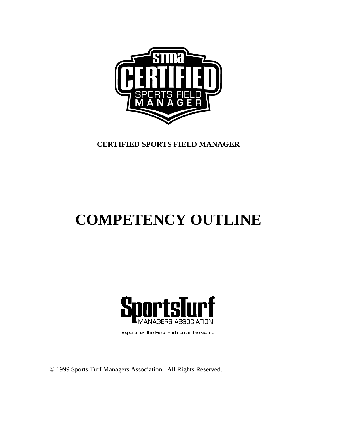

# **CERTIFIED SPORTS FIELD MANAGER**

# **COMPETENCY OUTLINE**



Experts on the Field, Partners in the Game.

© 1999 Sports Turf Managers Association. All Rights Reserved.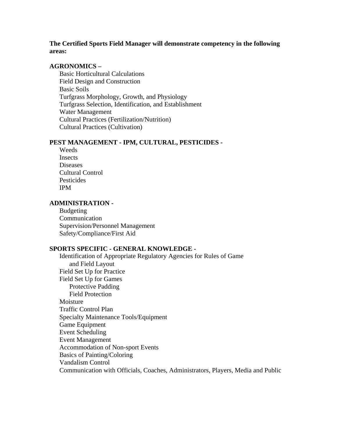# **The Certified Sports Field Manager will demonstrate competency in the following areas:**

#### **AGRONOMICS –**

Basic Horticultural Calculations Field Design and Construction Basic Soils Turfgrass Morphology, Growth, and Physiology Turfgrass Selection, Identification, and Establishment Water Management Cultural Practices (Fertilization/Nutrition) Cultural Practices (Cultivation)

#### **PEST MANAGEMENT - IPM, CULTURAL, PESTICIDES -**

Weeds Insects Diseases Cultural Control **Pesticides** IPM

## **ADMINISTRATION -**

Budgeting Communication Supervision/Personnel Management Safety/Compliance/First Aid

#### **SPORTS SPECIFIC - GENERAL KNOWLEDGE -**

Identification of Appropriate Regulatory Agencies for Rules of Game and Field Layout Field Set Up for Practice Field Set Up for Games Protective Padding Field Protection Moisture Traffic Control Plan Specialty Maintenance Tools/Equipment Game Equipment Event Scheduling Event Management Accommodation of Non-sport Events Basics of Painting/Coloring Vandalism Control Communication with Officials, Coaches, Administrators, Players, Media and Public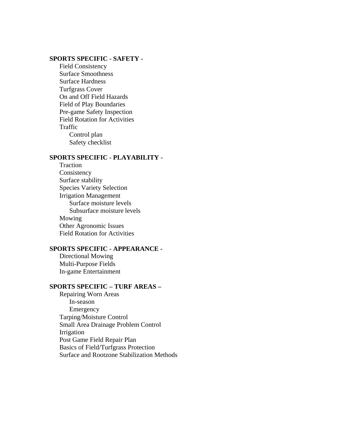## **SPORTS SPECIFIC - SAFETY -**

 Field Consistency Surface Smoothness Surface Hardness Turfgrass Cover On and Off Field Hazards Field of Play Boundaries Pre-game Safety Inspection Field Rotation for Activities Traffic Control plan Safety checklist

#### **SPORTS SPECIFIC - PLAYABILITY -**

 Traction Consistency Surface stability Species Variety Selection Irrigation Management Surface moisture levels Subsurface moisture levels Mowing Other Agronomic Issues Field Rotation for Activities

# **SPORTS SPECIFIC - APPEARANCE -**

 Directional Mowing Multi-Purpose Fields In-game Entertainment

# **SPORTS SPECIFIC – TURF AREAS –**

 Repairing Worn Areas In-season Emergency Tarping/Moisture Control Small Area Drainage Problem Control Irrigation Post Game Field Repair Plan Basics of Field/Turfgrass Protection Surface and Rootzone Stabilization Methods